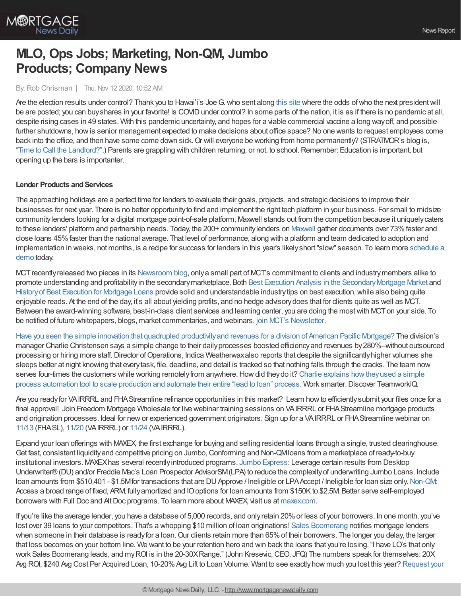

# **MLO, Ops Jobs; Marketing, Non-QM, Jumbo Products; Company News**

By: Rob Chrisman | Thu, Nov 12 2020, 10:52 AM

Are the election results under control? Thank you to Hawai'i's Joe G. who sent along this [site](https://www.predictit.org/) where the odds of who the next president will be are posted; you can buy shares in your favorite! Is COVID under control? In some parts of the nation, it is as if there is no pandemic at all, despite rising cases in 49 states. With this pandemic uncertainty, and hopes for a viable commercial vaccine a long wayoff, and possible further shutdowns, howis senior management expected to make decisions about office space? No one wants to request employees come back into the office, and then have some come down sick. Or will everyone be working from home permanently? (STRATMOR's blog is, "Time to Call the [Landlord?".](https://www.stratmorgroup.com/time-to-call-the-landlord/)) Parents are grappling with children returning, or not, to school.Remember: Education is important, but opening up the bars is importanter.

## **Lender Products and Services**

The approaching holidays are a perfect time for lenders to evaluate their goals, projects, and strategic decisions to improve their businesses for next year. There is no better opportunityto find and implement the right tech platform in your business. For small to midsize communitylenders looking for a digital mortgage point-of-sale platform, Maxwell stands out from the competition because it uniquelycaters to these lenders' platform and partnership needs. Today, the 200+ community lenders on [Maxwell](https://himaxwell.com/?utm_source=RC&utm_medium=RC_CTA) gather documents over 73% faster and close loans 45%faster than the national average. That level of performance, along with a platform and team dedicated to adoption and implementation in weeks, not months, is a recipe for success for lenders in this year's [likelyshort"slow"](https://himaxwell.com/?utm_source=RC&utm_medium=RC_CTA) season. To learn more schedule a demo today.

MCT recently released two pieces in its [Newsroom](https://mct-trading.com/blog/?utm_source=Chrisman%20Blurb&utm_medium=email&utm_campaign=Chrisman_Blurb_Blogs_Nov4) blog, only a small part of MCT's commitment to clients and industry members alike to promote understanding and profitability in the secondary marketplace. Both Best Execution Analysis in the Secondary Mortgage Market and History of Best [Execution](https://mct-trading.com/history-best-execution-mortgage-loans/?utm_source=Chrisman%20Blurb&utm_medium=email&utm_campaign=Chrisman_Blurb_Blogs_Nov4) for Mortgage Loans provide solid and understandable industry tips on best execution, while also being quite enjoyable reads. At the end of the day, it's all about yielding profits, and no hedge advisorydoes that for clients quite as well as MCT. Between the award-winning software, best-in-class client services and learning center, you are doing the mostwith MCTon your side. To be notified of future whitepapers, blogs, market commentaries, and webinars, join MCT's [Newsletter](https://mct-trading.com/newsroom/?utm_source=Chrisman%20Blurb&utm_medium=email&utm_campaign=Chrisman_Blurb_Blogs_Nov4#join).

Have you seen the simple innovation that quadrupled [productivityand](https://teamworkiq.com/american-pacific-mortgage-case-study/?utm_campaign=mortgage&utm_source=robchrisman.com&utm_content=innovative_idea_for_origination_teams_4xd_productivity) revenues for a division of American Pacific Mortgage? The division's manager Charlie Christensen says a simple change to their dailyprocesses boosted efficiencyand revenues by280%--without outsourced processing or hiring more staff. Director of Operations, Indica Weatherwax also reports that despite the significantly higher volumes she sleeps better at night knowing that everytask, file, deadline, and detail is tracked so that nothing falls through the cracks. The team now serves four-times the customers while working remotely from anywhere. How did they do it? Charlie explains how they used a simple process automation tool to scale production and automate their entire "lead to loan" process. Work smarter.Discover TeamworkIQ.

Are you readyfor VAIRRRL and FHAStreamline refinance opportunities in this market? Learn howto efficientlysubmit your files once for a final approval! Join Freedom Mortgage Wholesale for live webinar training sessions on VAIRRRL or FHA Streamline mortgage products and origination processes. Ideal for newor experienced government originators. Sign up for a VAIRRRL or FHAStreamline webinar on [11/13](https://freedom.zoom.us/j/84811984731) (FHASL), [11/20](https://freedom.zoom.us/j/82861081567) (VAIRRRL) or [11/24](https://freedom.zoom.us/j/86357780778) (VAIRRRL).

Expand your loan offerings with MAXEX, the first exchange for buying and selling residential loans through a single, trusted clearinghouse. Get fast, consistent liquidityand competitive pricing on Jumbo,Conforming and Non-QMloans from a marketplace of ready-to-buy institutional investors. MAXEXhas several recentlyintroduced programs. Jumbo [Express](https://www2.maxex.com/jumbo-express-sellers): Leverage certain results from Desktop Underwriter®(DU) and/or Freddie Mac's Loan Prospector AdvisorSM(LPA) to reduce the complexityof underwriting Jumbo Loans. Include loan amounts from \$510,401 - \$1.5Mfor transactions that are DU Approve / Ineligible or LPAAccept / Ineligible for loan size only. [Non-QM](https://www2.maxex.com/non-qm): Access a broad range of fixed, ARM, fullyamortized and IOoptions for loan amounts from \$150Kto \$2.5M. Better serve self-employed borrowers with Full Doc and Alt Doc programs. To learn more about MAXEX, visit us at [maxex.com](https://www.maxex.com/).

If you're like the average lender, you have a database of 5,000 records, and onlyretain 20%or less of your borrowers. In one month, you've lost over 39 loans to your competitors. That's a whopping \$10 million of loan originations! Sales [Boomerang](https://hubs.ly/H0sx4pt0) notifies mortgage lenders when someone in their database is ready for a loan. Our clients retain more than 65% of their borrowers. The longer you delay, the larger that loss becomes on your bottom line. We want to be your retention hero and win back the loans that you're losing. "I have LO's that only work Sales Boomerang leads, and my ROI is in the 20-30X Range." (John Kresevic, CEO, JFQ) The numbers speak for themselves: 20X Avg ROI, \$240 Avg Cost Per Acquired Loan, 10-20% Avg Lift to Loan Volume. Want to see exactly how much you lost this year? Request your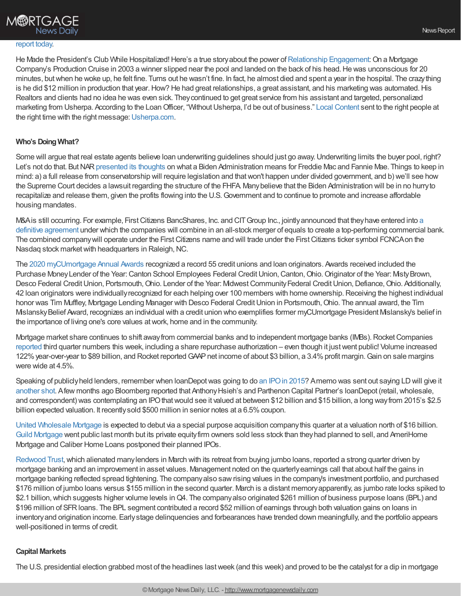

He Made the President's Club While Hospitalized! Here's a true story about the power of [Relationship](https://bit.ly/3dEuD8C) Engagement: On a Mortgage Company's Production Cruise in 2003 a winner slipped near the pool and landed on the back of his head. He was unconscious for 20 minutes, butwhen he woke up, he felt fine. Turns out he wasn't fine. In fact, he almost died and spent a year in the hospital. The crazything is he did \$12 million in production that year. How? He had great relationships, a great assistant, and his marketing was automated. His Realtors and clients had no idea he was even sick. Theycontinued to get great service from his assistant and targeted, personalized marketing from Usherpa. According to the Loan Officer, "Without Usherpa, I'd be out of business." Local [Content](https://bit.ly/2SQeo07) sent to the right people at the right time with the right message: [Usherpa.com](http://bit.ly/33tSnr4).

### **Who's DoingWhat?**

Some will argue that real estate agents believe loan underwriting guidelines should just go away. Underwriting limits the buyer pool, right? Let's not do that. But NAR [presented](https://www.realtor.com/news/real-estate-news/what-a-biden-administration-will-mean-for-housing-finance-reform/) its thoughts on what a Biden Administration means for Freddie Mac and Fannie Mae. Things to keep in mind: a) a full release from conservatorship will require legislation and thatwon't happen under divided government, and b) we'll see how the Supreme Court decides a lawsuit regarding the structure of the FHFA. Manybelieve that the Biden Administration will be in no hurryto recapitalize and release them, given the profits flowing into the U.S.Government and to continue to promote and increase affordable housing mandates.

M&A is still occurring. For example, First Citizens BancShares, Inc. and CIT Group Inc., jointly announced that they have entered into a definitive agreement under which the companies will combine in an all-stock merger of equals to create a top-performing commercial bank. The combined company will operate under the First Citizens name and will trade under the First Citizens ticker symbol FCNCA on the Nasdaq stock market with headquarters in Raleigh, NC.

The 2020 [myCUmortgage](https://www.mycumortgage.com/news/) Annual Awards recognized a record 55 credit unions and loan originators. Awards received included the Purchase Money Lender of the Year: Canton School Employees Federal Credit Union, Canton, Ohio. Originator of the Year: Misty Brown, Desco Federal Credit Union, Portsmouth, Ohio. Lender of the Year: Midwest Community Federal Credit Union, Defiance, Ohio. Additionally, 42 loan originators were individually recognized for each helping over 100 members with home ownership. Receiving the highest individual honor was Tim Muffley, Mortgage Lending Manager with Desco Federal Credit Union in Portsmouth, Ohio. The annual award, the Tim MislanskyBelief Award, recognizes an individual with a credit union who exemplifies former myCUmortgage President Mislansky's belief in the importance of living one's core values atwork, home and in the community.

Mortgage market share continues to shift away from commercial banks and to independent mortgage banks (IMBs). Rocket Companies [reported](https://ir.rocketcompanies.com/news-and-events/press-releases/press-release-details/2020/Rocket-Companies-Announces-Third-Quarter-Results/default.aspx) third quarter numbers this week, including a share repurchase authorization – even though it justwent public! Volume increased 122% year-over-year to \$89 billion, and Rocket reported GAAP net income of about \$3 billion, a 3.4% profit margin. Gain on sale margins were wide at 4.5%.

Speaking of publiclyheld lenders, remember when loanDepotwas going to do an [IPOin](https://www.sec.gov/Archives/edgar/data/1651502/000119312515340417/d53727ds1.htm) 2015? Amemo was sent out saying LDwill give it [another](http://www.secinfo.com/$/SEC/Registrant.asp?CIK=1596242) shot. Afew months ago Bloomberg reported that Anthony Hsieh's and Parthenon Capital Partner's loanDepot (retail, wholesale, and correspondent) was contemplating an IPO that would see it valued at between \$12 billion and \$15 billion, a long way from 2015's \$2.5 billion expected valuation. It recently sold \$500 million in senior notes at a 6.5% coupon.

United [Wholesale](https://www.barrons.com/articles/united-wholesale-mortgage-to-go-public-valued-at-16-billion-51600887661) Mortgage is expected to debut via a special purpose acquisition companythis quarter at a valuation north of \$16 billion. Guild [Mortgage](https://www.barrons.com/articles/mortgage-lender-guild-holdings-falls-below-ipo-price-in-trading-debut-51603384543) went public last month but its private equityfirm owners sold less stock than theyhad planned to sell, and AmeriHome Mortgage and Caliber Home Loans postponed their planned IPOs.

[Redwood](https://ir.redwoodtrust.com/news/) Trust, which alienated many lenders in March with its retreat from buying jumbo loans, reported a strong quarter driven by mortgage banking and an improvement in asset values. Management noted on the quarterlyearnings call that about half the gains in mortgage banking reflected spread tightening. The companyalso sawrising values in the company's investment portfolio, and purchased \$176 million of jumbo loans versus \$155 million in the second quarter. March is a distant memoryapparently, as jumbo rate locks spiked to \$2.1 billion, which suggests higher volume levels in Q4. The companyalso originated \$261 million of business purpose loans (BPL) and \$196 million of SFRloans. The BPL segment contributed a record \$52 million of earnings through both valuation gains on loans in inventoryand origination income. Earlystage delinquencies and forbearances have trended down meaningfully, and the portfolio appears well-positioned in terms of credit.

#### **Capital Markets**

The U.S. presidential election grabbed most of the headlines lastweek (and this week) and proved to be the catalyst for a dip in mortgage